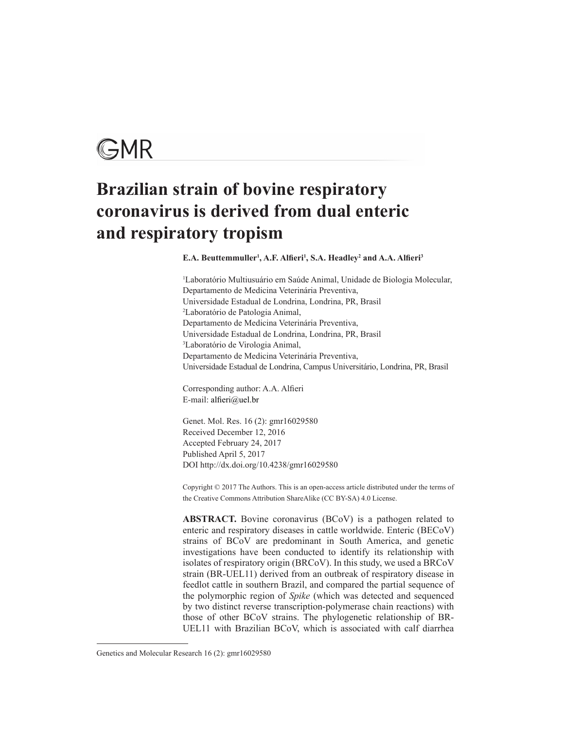# GMR

# **Brazilian strain of bovine respiratory coronavirus is derived from dual enteric and respiratory tropism**

**E.A. Beuttemmuller1 , A.F. Alfieri<sup>1</sup> , S.A. Headley2 and A.A. Alfieri<sup>3</sup>**

1 Laboratório Multiusuário em Saúde Animal, Unidade de Biologia Molecular, Departamento de Medicina Veterinária Preventiva, Universidade Estadual de Londrina, Londrina, PR, Brasil 2 Laboratório de Patologia Animal, Departamento de Medicina Veterinária Preventiva, Universidade Estadual de Londrina, Londrina, PR, Brasil 3 Laboratório de Virologia Animal, Departamento de Medicina Veterinária Preventiva, Universidade Estadual de Londrina, Campus Universitário, Londrina, PR, Brasil

Corresponding author: A.A. Alfieri E-mail: alfieri@uel.br

Genet. Mol. Res. 16 (2): gmr16029580 Received December 12, 2016 Accepted February 24, 2017 Published April 5, 2017 DOI http://dx.doi.org/10.4238/gmr16029580

Copyright © 2017 The Authors. This is an open-access article distributed under the terms of the Creative Commons Attribution ShareAlike (CC BY-SA) 4.0 License.

**ABSTRACT.** Bovine coronavirus (BCoV) is a pathogen related to enteric and respiratory diseases in cattle worldwide. Enteric (BECoV) strains of BCoV are predominant in South America, and genetic investigations have been conducted to identify its relationship with isolates of respiratory origin (BRCoV). In this study, we used a BRCoV strain (BR-UEL11) derived from an outbreak of respiratory disease in feedlot cattle in southern Brazil, and compared the partial sequence of the polymorphic region of *Spike* (which was detected and sequenced by two distinct reverse transcription-polymerase chain reactions) with those of other BCoV strains. The phylogenetic relationship of BR-UEL11 with Brazilian BCoV, which is associated with calf diarrhea

Genetics and Molecular Research 16 (2): gmr16029580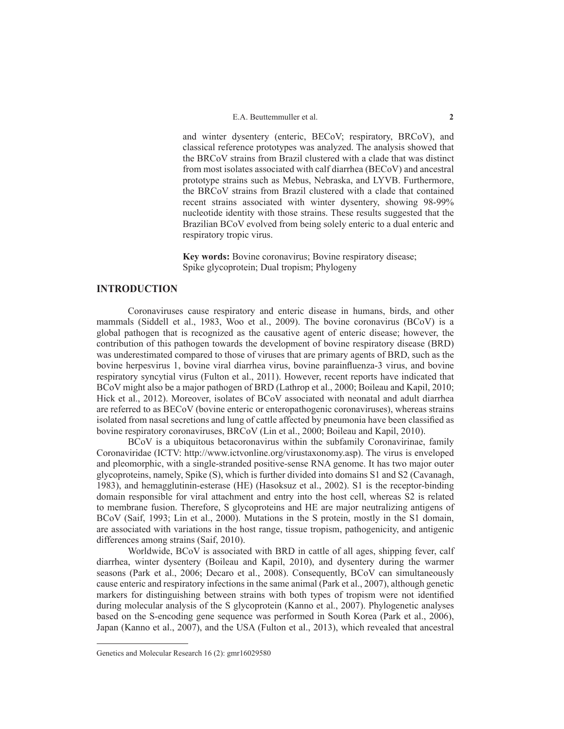and winter dysentery (enteric, BECoV; respiratory, BRCoV), and classical reference prototypes was analyzed. The analysis showed that the BRCoV strains from Brazil clustered with a clade that was distinct from most isolates associated with calf diarrhea (BECoV) and ancestral prototype strains such as Mebus, Nebraska, and LYVB. Furthermore, the BRCoV strains from Brazil clustered with a clade that contained recent strains associated with winter dysentery, showing 98-99% nucleotide identity with those strains. These results suggested that the Brazilian BCoV evolved from being solely enteric to a dual enteric and respiratory tropic virus.

**Key words:** Bovine coronavirus; Bovine respiratory disease; Spike glycoprotein; Dual tropism; Phylogeny

# **INTRODUCTION**

Coronaviruses cause respiratory and enteric disease in humans, birds, and other mammals (Siddell et al., 1983, Woo et al., 2009). The bovine coronavirus (BCoV) is a global pathogen that is recognized as the causative agent of enteric disease; however, the contribution of this pathogen towards the development of bovine respiratory disease (BRD) was underestimated compared to those of viruses that are primary agents of BRD, such as the bovine herpesvirus 1, bovine viral diarrhea virus, bovine parainfluenza-3 virus, and bovine respiratory syncytial virus (Fulton et al., 2011). However, recent reports have indicated that BCoV might also be a major pathogen of BRD (Lathrop et al., 2000; Boileau and Kapil, 2010; Hick et al., 2012). Moreover, isolates of BCoV associated with neonatal and adult diarrhea are referred to as BECoV (bovine enteric or enteropathogenic coronaviruses), whereas strains isolated from nasal secretions and lung of cattle affected by pneumonia have been classified as bovine respiratory coronaviruses, BRCoV (Lin et al., 2000; Boileau and Kapil, 2010).

BCoV is a ubiquitous betacoronavirus within the subfamily Coronavirinae, family Coronaviridae (ICTV: http://www.ictvonline.org/virustaxonomy.asp). The virus is enveloped and pleomorphic, with a single-stranded positive-sense RNA genome. It has two major outer glycoproteins, namely, Spike (S), which is further divided into domains S1 and S2 (Cavanagh, 1983), and hemagglutinin-esterase (HE) (Hasoksuz et al., 2002). S1 is the receptor-binding domain responsible for viral attachment and entry into the host cell, whereas S2 is related to membrane fusion. Therefore, S glycoproteins and HE are major neutralizing antigens of BCoV (Saif, 1993; Lin et al., 2000). Mutations in the S protein, mostly in the S1 domain, are associated with variations in the host range, tissue tropism, pathogenicity, and antigenic differences among strains (Saif, 2010).

Worldwide, BCoV is associated with BRD in cattle of all ages, shipping fever, calf diarrhea, winter dysentery (Boileau and Kapil, 2010), and dysentery during the warmer seasons (Park et al., 2006; Decaro et al., 2008). Consequently, BCoV can simultaneously cause enteric and respiratory infections in the same animal (Park et al., 2007), although genetic markers for distinguishing between strains with both types of tropism were not identified during molecular analysis of the S glycoprotein (Kanno et al., 2007). Phylogenetic analyses based on the S-encoding gene sequence was performed in South Korea (Park et al., 2006), Japan (Kanno et al., 2007), and the USA (Fulton et al., 2013), which revealed that ancestral

Genetics and Molecular Research 16 (2): gmr16029580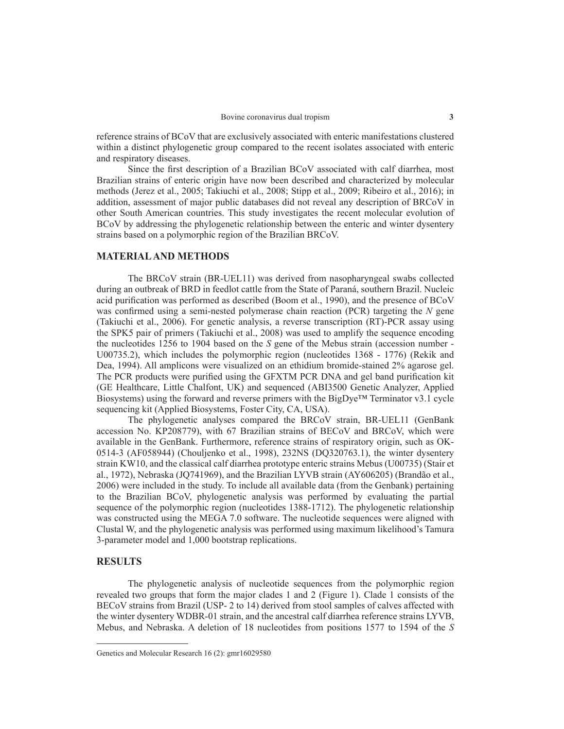reference strains of BCoV that are exclusively associated with enteric manifestations clustered within a distinct phylogenetic group compared to the recent isolates associated with enteric and respiratory diseases.

Since the first description of a Brazilian BCoV associated with calf diarrhea, most Brazilian strains of enteric origin have now been described and characterized by molecular methods (Jerez et al., 2005; Takiuchi et al., 2008; Stipp et al., 2009; Ribeiro et al., 2016); in addition, assessment of major public databases did not reveal any description of BRCoV in other South American countries. This study investigates the recent molecular evolution of BCoV by addressing the phylogenetic relationship between the enteric and winter dysentery strains based on a polymorphic region of the Brazilian BRCoV.

### **MATERIAL AND METHODS**

The BRCoV strain (BR-UEL11) was derived from nasopharyngeal swabs collected during an outbreak of BRD in feedlot cattle from the State of Paraná, southern Brazil. Nucleic acid purification was performed as described (Boom et al., 1990), and the presence of BCoV was confirmed using a semi-nested polymerase chain reaction (PCR) targeting the *N* gene (Takiuchi et al., 2006). For genetic analysis, a reverse transcription (RT)-PCR assay using the SPK5 pair of primers (Takiuchi et al., 2008) was used to amplify the sequence encoding the nucleotides 1256 to 1904 based on the *S* gene of the Mebus strain (accession number - U00735.2), which includes the polymorphic region (nucleotides 1368 - 1776) (Rekik and Dea, 1994). All amplicons were visualized on an ethidium bromide-stained 2% agarose gel. The PCR products were purified using the GFXTM PCR DNA and gel band purification kit (GE Healthcare, Little Chalfont, UK) and sequenced (ABI3500 Genetic Analyzer, Applied Biosystems) using the forward and reverse primers with the BigDye<sup>TM</sup> Terminator v3.1 cycle sequencing kit (Applied Biosystems, Foster City, CA, USA).

The phylogenetic analyses compared the BRCoV strain, BR-UEL11 (GenBank accession No. KP208779), with 67 Brazilian strains of BECoV and BRCoV, which were available in the GenBank. Furthermore, reference strains of respiratory origin, such as OK-0514-3 (AF058944) (Chouljenko et al., 1998), 232NS (DQ320763.1), the winter dysentery strain KW10, and the classical calf diarrhea prototype enteric strains Mebus (U00735) (Stair et al., 1972), Nebraska (JQ741969), and the Brazilian LYVB strain (AY606205) (Brandão et al., 2006) were included in the study. To include all available data (from the Genbank) pertaining to the Brazilian BCoV, phylogenetic analysis was performed by evaluating the partial sequence of the polymorphic region (nucleotides 1388-1712). The phylogenetic relationship was constructed using the MEGA 7.0 software. The nucleotide sequences were aligned with Clustal W, and the phylogenetic analysis was performed using maximum likelihood's Tamura 3-parameter model and 1,000 bootstrap replications.

# **RESULTS**

The phylogenetic analysis of nucleotide sequences from the polymorphic region revealed two groups that form the major clades 1 and 2 (Figure 1). Clade 1 consists of the BECoV strains from Brazil (USP- 2 to 14) derived from stool samples of calves affected with the winter dysentery WDBR-01 strain, and the ancestral calf diarrhea reference strains LYVB, Mebus, and Nebraska. A deletion of 18 nucleotides from positions 1577 to 1594 of the *S*

Genetics and Molecular Research 16 (2): gmr16029580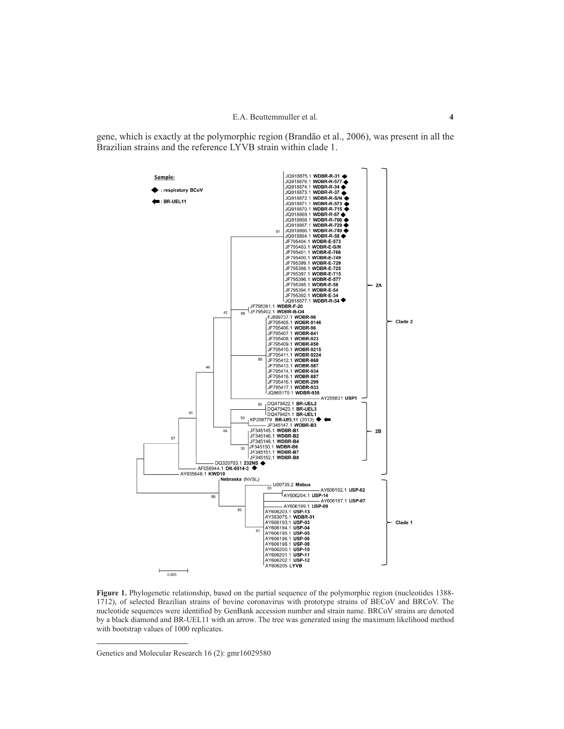gene, which is exactly at the polymorphic region (Brandão et al., 2006), was present in all the Brazilian strains and the reference LYVB strain within clade 1.



**Figure 1.** Phylogenetic relationship, based on the partial sequence of the polymorphic region (nucleotides 1388- 1712), of selected Brazilian strains of bovine coronavirus with prototype strains of BECoV and BRCoV. The nucleotide sequences were identified by GenBank accession number and strain name. BRCoV strains are denoted by a black diamond and BR-UEL11 with an arrow. The tree was generated using the maximum likelihood method with bootstrap values of 1000 replicates.

Genetics and Molecular Research 16 (2): gmr16029580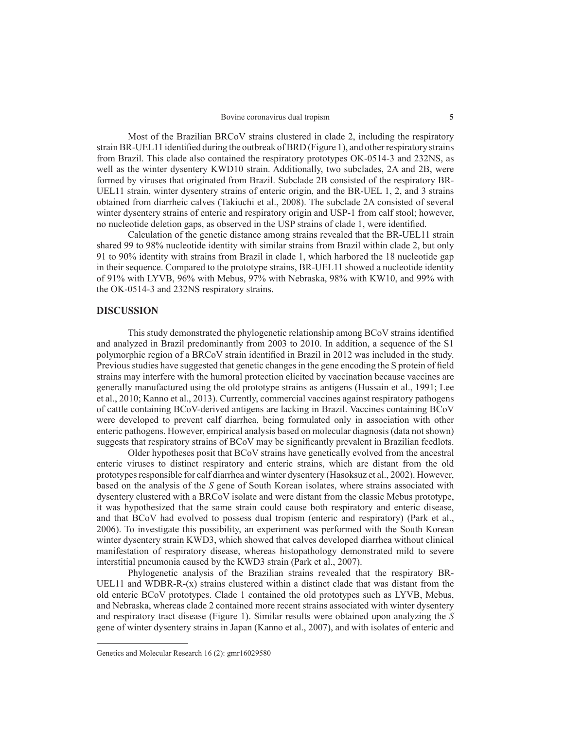Most of the Brazilian BRCoV strains clustered in clade 2, including the respiratory strain BR-UEL11 identified during the outbreak of BRD (Figure 1), and other respiratory strains from Brazil. This clade also contained the respiratory prototypes OK-0514-3 and 232NS, as well as the winter dysentery KWD10 strain. Additionally, two subclades, 2A and 2B, were formed by viruses that originated from Brazil. Subclade 2B consisted of the respiratory BR-UEL11 strain, winter dysentery strains of enteric origin, and the BR-UEL 1, 2, and 3 strains obtained from diarrheic calves (Takiuchi et al., 2008). The subclade 2A consisted of several winter dysentery strains of enteric and respiratory origin and USP-1 from calf stool; however, no nucleotide deletion gaps, as observed in the USP strains of clade 1, were identified.

Calculation of the genetic distance among strains revealed that the BR-UEL11 strain shared 99 to 98% nucleotide identity with similar strains from Brazil within clade 2, but only 91 to 90% identity with strains from Brazil in clade 1, which harbored the 18 nucleotide gap in their sequence. Compared to the prototype strains, BR-UEL11 showed a nucleotide identity of 91% with LYVB, 96% with Mebus, 97% with Nebraska, 98% with KW10, and 99% with the OK-0514-3 and 232NS respiratory strains.

#### **DISCUSSION**

This study demonstrated the phylogenetic relationship among BCoV strains identified and analyzed in Brazil predominantly from 2003 to 2010. In addition, a sequence of the S1 polymorphic region of a BRCoV strain identified in Brazil in 2012 was included in the study. Previous studies have suggested that genetic changes in the gene encoding the S protein of field strains may interfere with the humoral protection elicited by vaccination because vaccines are generally manufactured using the old prototype strains as antigens (Hussain et al., 1991; Lee et al., 2010; Kanno et al., 2013). Currently, commercial vaccines against respiratory pathogens of cattle containing BCoV-derived antigens are lacking in Brazil. Vaccines containing BCoV were developed to prevent calf diarrhea, being formulated only in association with other enteric pathogens. However, empirical analysis based on molecular diagnosis (data not shown) suggests that respiratory strains of BCoV may be significantly prevalent in Brazilian feedlots.

Older hypotheses posit that BCoV strains have genetically evolved from the ancestral enteric viruses to distinct respiratory and enteric strains, which are distant from the old prototypes responsible for calf diarrhea and winter dysentery (Hasoksuz et al., 2002). However, based on the analysis of the *S* gene of South Korean isolates, where strains associated with dysentery clustered with a BRCoV isolate and were distant from the classic Mebus prototype, it was hypothesized that the same strain could cause both respiratory and enteric disease, and that BCoV had evolved to possess dual tropism (enteric and respiratory) (Park et al., 2006). To investigate this possibility, an experiment was performed with the South Korean winter dysentery strain KWD3, which showed that calves developed diarrhea without clinical manifestation of respiratory disease, whereas histopathology demonstrated mild to severe interstitial pneumonia caused by the KWD3 strain (Park et al., 2007).

Phylogenetic analysis of the Brazilian strains revealed that the respiratory BR-UEL11 and WDBR-R- $(x)$  strains clustered within a distinct clade that was distant from the old enteric BCoV prototypes. Clade 1 contained the old prototypes such as LYVB, Mebus, and Nebraska, whereas clade 2 contained more recent strains associated with winter dysentery and respiratory tract disease (Figure 1). Similar results were obtained upon analyzing the *S* gene of winter dysentery strains in Japan (Kanno et al., 2007), and with isolates of enteric and

Genetics and Molecular Research 16 (2): gmr16029580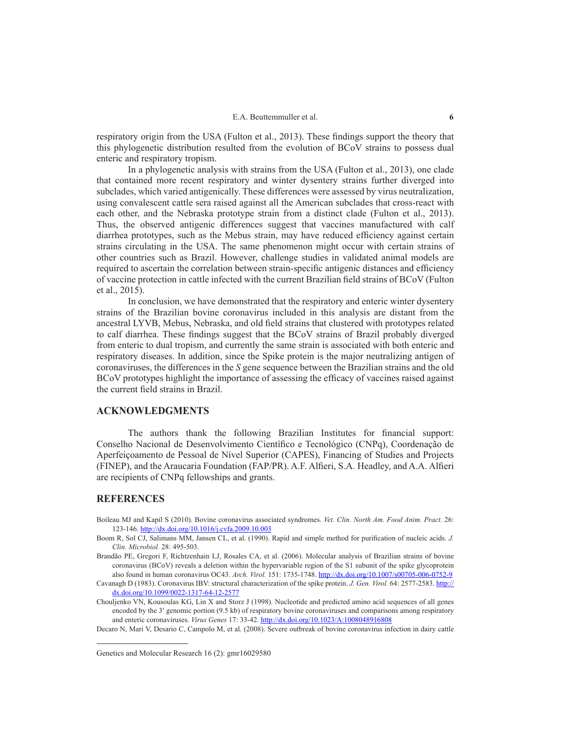respiratory origin from the USA (Fulton et al., 2013). These findings support the theory that this phylogenetic distribution resulted from the evolution of BCoV strains to possess dual enteric and respiratory tropism.

In a phylogenetic analysis with strains from the USA (Fulton et al., 2013), one clade that contained more recent respiratory and winter dysentery strains further diverged into subclades, which varied antigenically. These differences were assessed by virus neutralization, using convalescent cattle sera raised against all the American subclades that cross-react with each other, and the Nebraska prototype strain from a distinct clade (Fulton et al., 2013). Thus, the observed antigenic differences suggest that vaccines manufactured with calf diarrhea prototypes, such as the Mebus strain, may have reduced efficiency against certain strains circulating in the USA. The same phenomenon might occur with certain strains of other countries such as Brazil. However, challenge studies in validated animal models are required to ascertain the correlation between strain-specific antigenic distances and efficiency of vaccine protection in cattle infected with the current Brazilian field strains of BCoV (Fulton et al., 2015).

In conclusion, we have demonstrated that the respiratory and enteric winter dysentery strains of the Brazilian bovine coronavirus included in this analysis are distant from the ancestral LYVB, Mebus, Nebraska, and old field strains that clustered with prototypes related to calf diarrhea. These findings suggest that the BCoV strains of Brazil probably diverged from enteric to dual tropism, and currently the same strain is associated with both enteric and respiratory diseases. In addition, since the Spike protein is the major neutralizing antigen of coronaviruses, the differences in the *S* gene sequence between the Brazilian strains and the old BCoV prototypes highlight the importance of assessing the efficacy of vaccines raised against the current field strains in Brazil.

## **ACKNOWLEDGMENTS**

The authors thank the following Brazilian Institutes for financial support: Conselho Nacional de Desenvolvimento Científico e Tecnológico (CNPq), Coordenação de Aperfeiçoamento de Pessoal de Nível Superior (CAPES), Financing of Studies and Projects (FINEP), and the Araucaria Foundation (FAP/PR). A.F. Alfieri, S.A. Headley, and A.A. Alfieri are recipients of CNPq fellowships and grants.

### **REFERENCES**

Boileau MJ and Kapil S (2010). Bovine coronavirus associated syndromes. *Vet. Clin. North Am. Food Anim. Pract.* 26: 123-146. http://dx.doi.org/10.1016/j.cvfa.2009.10.003

- Brandão PE, Gregori F, Richtzenhain LJ, Rosales CA, et al. (2006). Molecular analysis of Brazilian strains of bovine coronavirus (BCoV) reveals a deletion within the hypervariable region of the S1 subunit of the spike glycoprotein also found in human coronavirus OC43. *Arch. Virol.* 151: 1735-1748. http://dx.doi.org/10.1007/s00705-006-0752-9
- Cavanagh D (1983). Coronavirus IBV: structural characterization of the spike protein. *J. Gen. Virol.* 64: 2577-2583. http:// dx.doi.org/10.1099/0022-1317-64-12-2577
- Chouljenko VN, Kousoulas KG, Lin X and Storz J (1998). Nucleotide and predicted amino acid sequences of all genes encoded by the 3′ genomic portion (9.5 kb) of respiratory bovine coronaviruses and comparisons among respiratory and enteric coronaviruses. *Virus Genes* 17: 33-42. http://dx.doi.org/10.1023/A:1008048916808

Decaro N, Mari V, Desario C, Campolo M, et al. (2008). Severe outbreak of bovine coronavirus infection in dairy cattle

Boom R, Sol CJ, Salimans MM, Jansen CL, et al. (1990). Rapid and simple method for purification of nucleic acids. *J. Clin. Microbiol.* 28: 495-503.

Genetics and Molecular Research 16 (2): gmr16029580